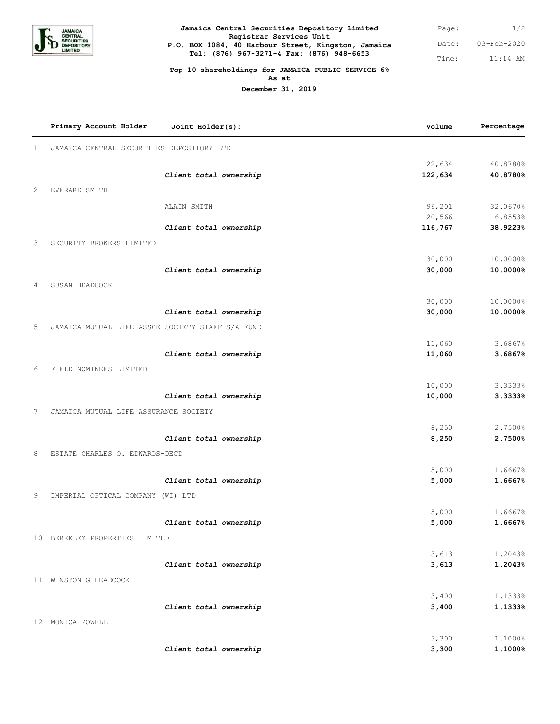

| Jamaica Central Securities Depository Limited       | Page: |
|-----------------------------------------------------|-------|
| Registrar Services Unit                             |       |
| P.O. BOX 1084, 40 Harbour Street, Kingston, Jamaica | Date: |
| Tel: (876) 967-3271-4 Fax: (876) 948-6653           |       |
|                                                     | Time: |

1/2 03-Feb-2020 11:14 AM

## **Top 10 shareholdings for JAMAICA PUBLIC SERVICE 6% As at**

**December 31, 2019**

| $\mathbf{1}$<br>JAMAICA CENTRAL SECURITIES DEPOSITORY LTD<br>40.8780%<br>122,634<br>122,634<br>Client total ownership<br>40.8780%<br>2<br>EVERARD SMITH<br>96,201<br>32.0670%<br>ALAIN SMITH<br>20,566<br>6.8553%<br>116,767<br>38.9223%<br>Client total ownership<br>3<br>SECURITY BROKERS LIMITED<br>10.0000%<br>30,000<br>30,000<br>10.0000%<br>Client total ownership<br>SUSAN HEADCOCK<br>4<br>30,000<br>10.0000%<br>30,000<br>10.0000%<br>Client total ownership<br>5<br>JAMAICA MUTUAL LIFE ASSCE SOCIETY STAFF S/A FUND<br>11,060<br>3.6867%<br>11,060<br>3.6867%<br>Client total ownership<br>FIELD NOMINEES LIMITED<br>6<br>10,000<br>3.3333%<br>10,000<br>3.3333%<br>Client total ownership<br>7<br>JAMAICA MUTUAL LIFE ASSURANCE SOCIETY<br>8,250<br>2.7500%<br>8,250<br>2.7500%<br>Client total ownership<br>8<br>ESTATE CHARLES O. EDWARDS-DECD<br>5,000<br>1.6667%<br>5,000<br>1.6667%<br>Client total ownership<br>9<br>IMPERIAL OPTICAL COMPANY (WI) LTD<br>5,000<br>1.6667%<br>5,000<br>1.6667%<br>Client total ownership<br>10 BERKELEY PROPERTIES LIMITED<br>3,613<br>1.2043%<br>3,613<br>1.2043%<br>Client total ownership<br>11 WINSTON G HEADCOCK<br>3,400<br>1.1333%<br>3,400<br>Client total ownership<br>1.1333%<br>12 MONICA POWELL<br>3,300<br>1.1000% | Primary Account Holder | Joint Holder(s):       | Volume | Percentage |
|------------------------------------------------------------------------------------------------------------------------------------------------------------------------------------------------------------------------------------------------------------------------------------------------------------------------------------------------------------------------------------------------------------------------------------------------------------------------------------------------------------------------------------------------------------------------------------------------------------------------------------------------------------------------------------------------------------------------------------------------------------------------------------------------------------------------------------------------------------------------------------------------------------------------------------------------------------------------------------------------------------------------------------------------------------------------------------------------------------------------------------------------------------------------------------------------------------------------------------------------------------------------------------|------------------------|------------------------|--------|------------|
|                                                                                                                                                                                                                                                                                                                                                                                                                                                                                                                                                                                                                                                                                                                                                                                                                                                                                                                                                                                                                                                                                                                                                                                                                                                                                    |                        |                        |        |            |
|                                                                                                                                                                                                                                                                                                                                                                                                                                                                                                                                                                                                                                                                                                                                                                                                                                                                                                                                                                                                                                                                                                                                                                                                                                                                                    |                        |                        |        |            |
|                                                                                                                                                                                                                                                                                                                                                                                                                                                                                                                                                                                                                                                                                                                                                                                                                                                                                                                                                                                                                                                                                                                                                                                                                                                                                    |                        |                        |        |            |
|                                                                                                                                                                                                                                                                                                                                                                                                                                                                                                                                                                                                                                                                                                                                                                                                                                                                                                                                                                                                                                                                                                                                                                                                                                                                                    |                        |                        |        |            |
|                                                                                                                                                                                                                                                                                                                                                                                                                                                                                                                                                                                                                                                                                                                                                                                                                                                                                                                                                                                                                                                                                                                                                                                                                                                                                    |                        |                        |        |            |
|                                                                                                                                                                                                                                                                                                                                                                                                                                                                                                                                                                                                                                                                                                                                                                                                                                                                                                                                                                                                                                                                                                                                                                                                                                                                                    |                        |                        |        |            |
|                                                                                                                                                                                                                                                                                                                                                                                                                                                                                                                                                                                                                                                                                                                                                                                                                                                                                                                                                                                                                                                                                                                                                                                                                                                                                    |                        |                        |        |            |
|                                                                                                                                                                                                                                                                                                                                                                                                                                                                                                                                                                                                                                                                                                                                                                                                                                                                                                                                                                                                                                                                                                                                                                                                                                                                                    |                        |                        |        |            |
|                                                                                                                                                                                                                                                                                                                                                                                                                                                                                                                                                                                                                                                                                                                                                                                                                                                                                                                                                                                                                                                                                                                                                                                                                                                                                    |                        |                        |        |            |
|                                                                                                                                                                                                                                                                                                                                                                                                                                                                                                                                                                                                                                                                                                                                                                                                                                                                                                                                                                                                                                                                                                                                                                                                                                                                                    |                        |                        |        |            |
|                                                                                                                                                                                                                                                                                                                                                                                                                                                                                                                                                                                                                                                                                                                                                                                                                                                                                                                                                                                                                                                                                                                                                                                                                                                                                    |                        |                        |        |            |
|                                                                                                                                                                                                                                                                                                                                                                                                                                                                                                                                                                                                                                                                                                                                                                                                                                                                                                                                                                                                                                                                                                                                                                                                                                                                                    |                        |                        |        |            |
|                                                                                                                                                                                                                                                                                                                                                                                                                                                                                                                                                                                                                                                                                                                                                                                                                                                                                                                                                                                                                                                                                                                                                                                                                                                                                    |                        |                        |        |            |
|                                                                                                                                                                                                                                                                                                                                                                                                                                                                                                                                                                                                                                                                                                                                                                                                                                                                                                                                                                                                                                                                                                                                                                                                                                                                                    |                        |                        |        |            |
|                                                                                                                                                                                                                                                                                                                                                                                                                                                                                                                                                                                                                                                                                                                                                                                                                                                                                                                                                                                                                                                                                                                                                                                                                                                                                    |                        |                        |        |            |
|                                                                                                                                                                                                                                                                                                                                                                                                                                                                                                                                                                                                                                                                                                                                                                                                                                                                                                                                                                                                                                                                                                                                                                                                                                                                                    |                        |                        |        |            |
|                                                                                                                                                                                                                                                                                                                                                                                                                                                                                                                                                                                                                                                                                                                                                                                                                                                                                                                                                                                                                                                                                                                                                                                                                                                                                    |                        |                        |        |            |
|                                                                                                                                                                                                                                                                                                                                                                                                                                                                                                                                                                                                                                                                                                                                                                                                                                                                                                                                                                                                                                                                                                                                                                                                                                                                                    |                        |                        |        |            |
|                                                                                                                                                                                                                                                                                                                                                                                                                                                                                                                                                                                                                                                                                                                                                                                                                                                                                                                                                                                                                                                                                                                                                                                                                                                                                    |                        |                        |        |            |
|                                                                                                                                                                                                                                                                                                                                                                                                                                                                                                                                                                                                                                                                                                                                                                                                                                                                                                                                                                                                                                                                                                                                                                                                                                                                                    |                        |                        |        |            |
|                                                                                                                                                                                                                                                                                                                                                                                                                                                                                                                                                                                                                                                                                                                                                                                                                                                                                                                                                                                                                                                                                                                                                                                                                                                                                    |                        |                        |        |            |
|                                                                                                                                                                                                                                                                                                                                                                                                                                                                                                                                                                                                                                                                                                                                                                                                                                                                                                                                                                                                                                                                                                                                                                                                                                                                                    |                        |                        |        |            |
|                                                                                                                                                                                                                                                                                                                                                                                                                                                                                                                                                                                                                                                                                                                                                                                                                                                                                                                                                                                                                                                                                                                                                                                                                                                                                    |                        |                        |        |            |
|                                                                                                                                                                                                                                                                                                                                                                                                                                                                                                                                                                                                                                                                                                                                                                                                                                                                                                                                                                                                                                                                                                                                                                                                                                                                                    |                        |                        |        |            |
|                                                                                                                                                                                                                                                                                                                                                                                                                                                                                                                                                                                                                                                                                                                                                                                                                                                                                                                                                                                                                                                                                                                                                                                                                                                                                    |                        |                        |        |            |
|                                                                                                                                                                                                                                                                                                                                                                                                                                                                                                                                                                                                                                                                                                                                                                                                                                                                                                                                                                                                                                                                                                                                                                                                                                                                                    |                        |                        |        |            |
|                                                                                                                                                                                                                                                                                                                                                                                                                                                                                                                                                                                                                                                                                                                                                                                                                                                                                                                                                                                                                                                                                                                                                                                                                                                                                    |                        |                        |        |            |
|                                                                                                                                                                                                                                                                                                                                                                                                                                                                                                                                                                                                                                                                                                                                                                                                                                                                                                                                                                                                                                                                                                                                                                                                                                                                                    |                        |                        |        |            |
|                                                                                                                                                                                                                                                                                                                                                                                                                                                                                                                                                                                                                                                                                                                                                                                                                                                                                                                                                                                                                                                                                                                                                                                                                                                                                    |                        |                        |        |            |
|                                                                                                                                                                                                                                                                                                                                                                                                                                                                                                                                                                                                                                                                                                                                                                                                                                                                                                                                                                                                                                                                                                                                                                                                                                                                                    |                        |                        |        |            |
|                                                                                                                                                                                                                                                                                                                                                                                                                                                                                                                                                                                                                                                                                                                                                                                                                                                                                                                                                                                                                                                                                                                                                                                                                                                                                    |                        |                        |        |            |
|                                                                                                                                                                                                                                                                                                                                                                                                                                                                                                                                                                                                                                                                                                                                                                                                                                                                                                                                                                                                                                                                                                                                                                                                                                                                                    |                        |                        |        |            |
|                                                                                                                                                                                                                                                                                                                                                                                                                                                                                                                                                                                                                                                                                                                                                                                                                                                                                                                                                                                                                                                                                                                                                                                                                                                                                    |                        |                        |        |            |
|                                                                                                                                                                                                                                                                                                                                                                                                                                                                                                                                                                                                                                                                                                                                                                                                                                                                                                                                                                                                                                                                                                                                                                                                                                                                                    |                        |                        |        |            |
|                                                                                                                                                                                                                                                                                                                                                                                                                                                                                                                                                                                                                                                                                                                                                                                                                                                                                                                                                                                                                                                                                                                                                                                                                                                                                    |                        |                        |        |            |
|                                                                                                                                                                                                                                                                                                                                                                                                                                                                                                                                                                                                                                                                                                                                                                                                                                                                                                                                                                                                                                                                                                                                                                                                                                                                                    |                        |                        |        |            |
|                                                                                                                                                                                                                                                                                                                                                                                                                                                                                                                                                                                                                                                                                                                                                                                                                                                                                                                                                                                                                                                                                                                                                                                                                                                                                    |                        |                        |        |            |
|                                                                                                                                                                                                                                                                                                                                                                                                                                                                                                                                                                                                                                                                                                                                                                                                                                                                                                                                                                                                                                                                                                                                                                                                                                                                                    |                        | Client total ownership | 3,300  | 1.1000%    |